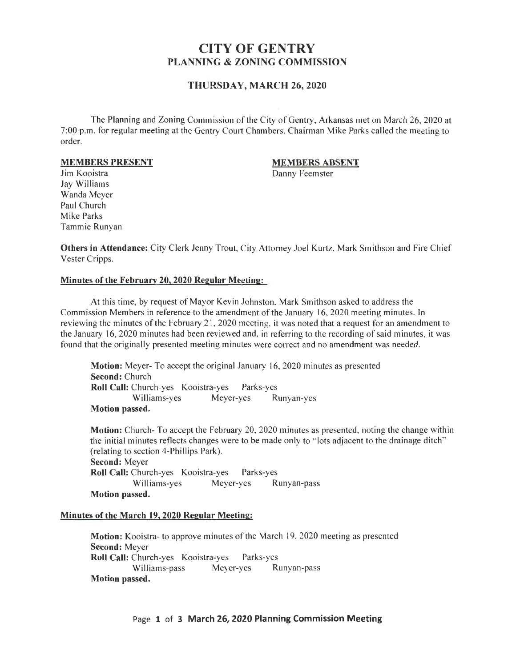# CITY OF GENTRY PLANNING & ZONING COMMISSION

### THURSDAY, MARCH 26,2020

The Planning and Zoning Commission of the City of Gentry, Arkansas met on March 26, 2020 at 7:00 p.m. for regular meeting at the Gentry Court Chambers. Chairman Mike Parks called the meeting to order.

#### MEMBERS PRESENT

#### MEMBERS ABSENT

Danny Feemster

Jim Kooistra Jay Williams Wanda Meyer Paul Church Mike Parks Tammie Runyan

Others in Attendance: City Clerk Jenny Trout, City Attorney Joel Kurtz, Mark Smithson and Fire Chief Vester Cripps.

### Minutes of the February 20, 2020 Regular Meeting:

At this time, by request of Mayor Kevin Johnston, Mark Smithson asked to address the Commission Members in reference to the amendment of the January 16, 2020 meeting minutes. In reviewing the minutes of the February 21 , 2020 meeting, it was noted that a request for an amendment to the January 16, 2020 minutes had been reviewed and, in referring to the recording of said minutes, it was found that the originally presented meeting minutes were correct and no amendment was needed.

Motion: Meyer- To accept the original January 16, 2020 minutes as presented Second: Church Roll Call: Church-yes Kooistra-yes Parks-yes Williams-yes Meyer-yes Runyan-yes Motion passed.

Motion: Church- To accept the February 20, 2020 minutes as presented, noting the change within the initial minutes reflects changes were to be made only to " lots adjacent to the drainage ditch" (relating to section 4-Phillips Park). Second: Meyer Roll Call: Church-yes Kooistra-yes Parks-yes Williams-yes Meyer-yes Runyan-pass Motion passed.

#### Minutes of the March 19, 2020 Regular Meeting:

Motion: Kooistra- to approve minutes of the March 19, 2020 meeting as presented Second: Meyer Roll Call: Church-yes Kooistra-yes Parks-yes Williams-pass Meyer-yes Runyan-pass Motion passed.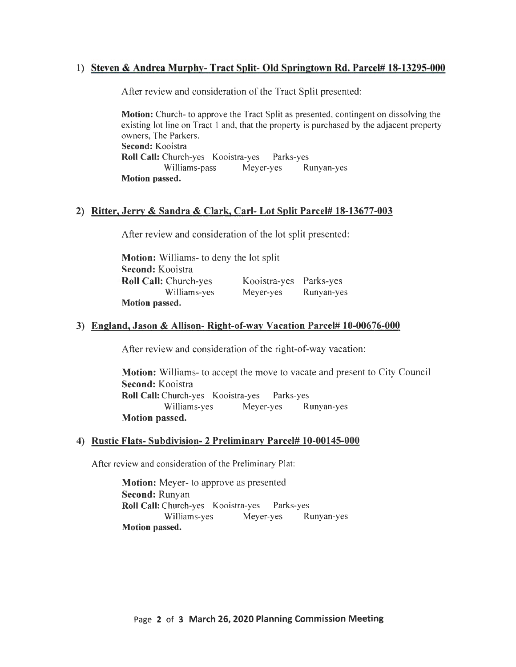# 1) Steven & Andrea Murphy- Tract Split- Old Springtown Rd. Parcel# 18-13295-000

After review and consideration of the Tract Split presented:

Motion: Church- to approve the Tract Split as presented, contingent on dissolving the existing lot line on Tract I and, that the property is purchased by the adjacent property owners, The Parkers. Second: Kooistra Roll Call: Church-yes Kooistra-yes Parks-yes Williams-pass Meyer-yes Runyan-yes Motion passed.

# 2) Ritter, Jerry & Sandra & Clark, Carl- Lot Split Parcel# 18-13677-003

After review and consideration of the lot split presented:

Motion: Williams- to deny the lot split Second: Kooistra Roll Call: Church-yes Williams-yes Motion passed. Kooistra-yes Parks-yes Meyer-yes Runyan-yes

# 3) England, Jason & Allison- Right-of-way Vacation Parcel# 10-00676-000

After review and consideration of the right-of-way vacation:

Motion: Williams- to accept the move to vacate and present to City Council Second: Kooistra Roll Call: Church-yes Kooistra-yes Parks-yes Williams-yes Meyer-yes Runyan-yes Motion passed.

### 4) Rustic Flats- Subdivision- 2 Preliminary Parcel# 10-00145-000

After review and consideration of the Preliminary Plat:

**Motion:** Meyer- to approve as presented Second: Runyan Roll Call: Church-yes Kooistra-yes Parks-yes Williams-yes Meyer-yes Runyan-yes Motion passed.